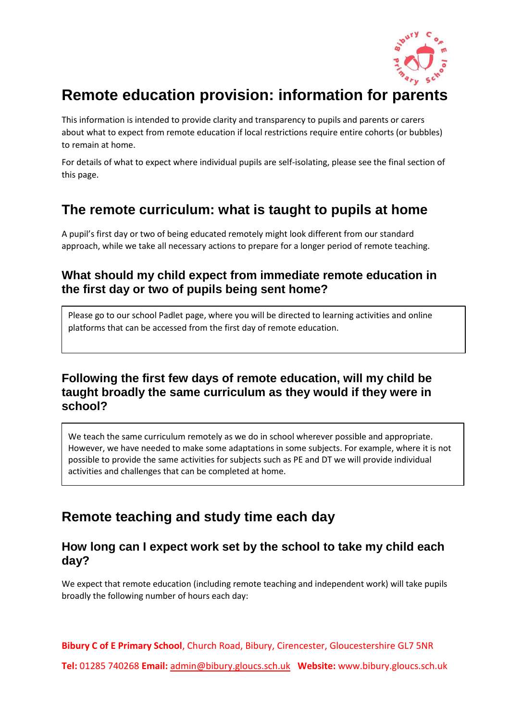

# **Remote education provision: information for parents**

This information is intended to provide clarity and transparency to pupils and parents or carers about what to expect from remote education if local restrictions require entire cohorts (or bubbles) to remain at home.

For details of what to expect where individual pupils are self-isolating, please see the final section of this page.

## **The remote curriculum: what is taught to pupils at home**

A pupil's first day or two of being educated remotely might look different from our standard approach, while we take all necessary actions to prepare for a longer period of remote teaching.

#### **What should my child expect from immediate remote education in the first day or two of pupils being sent home?**

Please go to our school Padlet page, where you will be directed to learning activities and online platforms that can be accessed from the first day of remote education.

#### **Following the first few days of remote education, will my child be taught broadly the same curriculum as they would if they were in school?**

We teach the same curriculum remotely as we do in school wherever possible and appropriate. However, we have needed to make some adaptations in some subjects. For example, where it is not possible to provide the same activities for subjects such as PE and DT we will provide individual activities and challenges that can be completed at home.

## **Remote teaching and study time each day**

#### **How long can I expect work set by the school to take my child each day?**

We expect that remote education (including remote teaching and independent work) will take pupils broadly the following number of hours each day:

**Bibury C of E Primary School**, Church Road, Bibury, Cirencester, Gloucestershire GL7 5NR

**Tel:** 01285 740268 **Email:** [admin@bibury.gloucs.sch.uk](mailto:admin@bibury.gloucs.sch.uk) **Website:** www.bibury.gloucs.sch.uk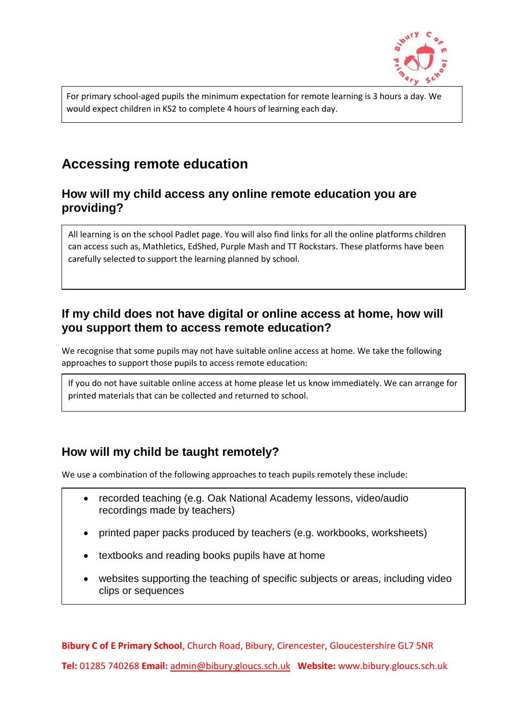

For primary school-aged pupils the minimum expectation for remote learning is 3 hours a day. We would expect children in KS2 to complete 4 hours of learning each day.

## **Accessing remote education**

#### **How will my child access any online remote education you are providing?**

All learning is on the school Padlet page. You will also find links for all the online platforms children can access such as, Mathletics, EdShed, Purple Mash and TT Rockstars. These platforms have been carefully selected to support the learning planned by school.

#### **If my child does not have digital or online access at home, how will you support them to access remote education?**

We recognise that some pupils may not have suitable online access at home. We take the following approaches to support those pupils to access remote education:

If you do not have suitable online access at home please let us know immediately. We can arrange for printed materials that can be collected and returned to school.

#### **How will my child be taught remotely?**

We use a combination of the following approaches to teach pupils remotely these include:

- recorded teaching (e.g. Oak National Academy lessons, video/audio recordings made by teachers)
- printed paper packs produced by teachers (e.g. workbooks, worksheets)
- textbooks and reading books pupils have at home
- websites supporting the teaching of specific subjects or areas, including video clips or sequences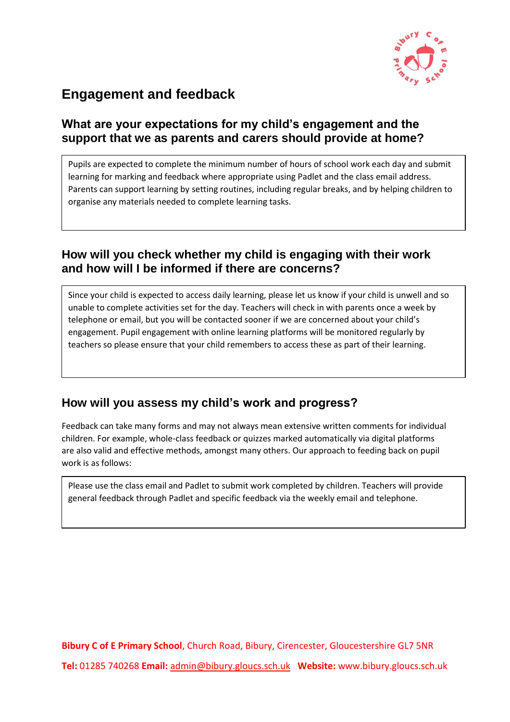

## **Engagement and feedback**

#### **What are your expectations for my child's engagement and the support that we as parents and carers should provide at home?**

Pupils are expected to complete the minimum number of hours of school work each day and submit learning for marking and feedback where appropriate using Padlet and the class email address. Parents can support learning by setting routines, including regular breaks, and by helping children to organise any materials needed to complete learning tasks.

#### **How will you check whether my child is engaging with their work and how will I be informed if there are concerns?**

Since your child is expected to access daily learning, please let us know if your child is unwell and so unable to complete activities set for the day. Teachers will check in with parents once a week by telephone or email, but you will be contacted sooner if we are concerned about your child's engagement. Pupil engagement with online learning platforms will be monitored regularly by teachers so please ensure that your child remembers to access these as part of their learning.

#### **How will you assess my child's work and progress?**

Feedback can take many forms and may not always mean extensive written comments for individual children. For example, whole-class feedback or quizzes marked automatically via digital platforms are also valid and effective methods, amongst many others. Our approach to feeding back on pupil work is as follows:

Please use the class email and Padlet to submit work completed by children. Teachers will provide general feedback through Padlet and specific feedback via the weekly email and telephone.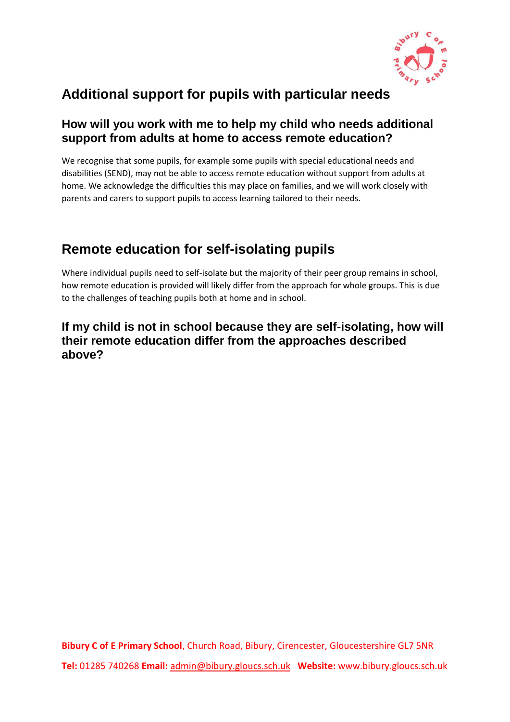

## **Additional support for pupils with particular needs**

#### **How will you work with me to help my child who needs additional support from adults at home to access remote education?**

We recognise that some pupils, for example some pupils with special educational needs and disabilities (SEND), may not be able to access remote education without support from adults at home. We acknowledge the difficulties this may place on families, and we will work closely with parents and carers to support pupils to access learning tailored to their needs.

## **Remote education for self-isolating pupils**

Where individual pupils need to self-isolate but the majority of their peer group remains in school, how remote education is provided will likely differ from the approach for whole groups. This is due to the challenges of teaching pupils both at home and in school.

#### **If my child is not in school because they are self-isolating, how will their remote education differ from the approaches described above?**